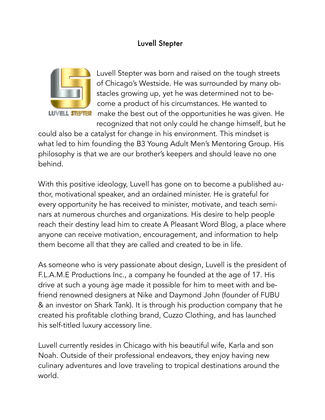## Luvell Stepter



Luvell Stepter was born and raised on the tough streets of Chicago's Westside. He was surrounded by many obstacles growing up, yet he was determined not to become a product of his circumstances. He wanted to make the best out of the opportunities he was given. He recognized that not only could he change himself, but he

could also be a catalyst for change in his environment. This mindset is what led to him founding the B3 Young Adult Men's Mentoring Group. His philosophy is that we are our brother's keepers and should leave no one behind.

With this positive ideology, Luvell has gone on to become a published author, motivational speaker, and an ordained minister. He is grateful for every opportunity he has received to minister, motivate, and teach seminars at numerous churches and organizations. His desire to help people reach their destiny lead him to create A Pleasant Word Blog, a place where anyone can receive motivation, encouragement, and information to help them become all that they are called and created to be in life.

As someone who is very passionate about design, Luvell is the president of F.L.A.M.E Productions Inc., a company he founded at the age of 17. His drive at such a young age made it possible for him to meet with and befriend renowned designers at Nike and Daymond John (founder of FUBU & an investor on Shark Tank). It is through his production company that he created his profitable clothing brand, Cuzzo Clothing, and has launched his self-titled luxury accessory line.

Luvell currently resides in Chicago with his beautiful wife, Karla and son Noah. Outside of their professional endeavors, they enjoy having new culinary adventures and love traveling to tropical destinations around the world.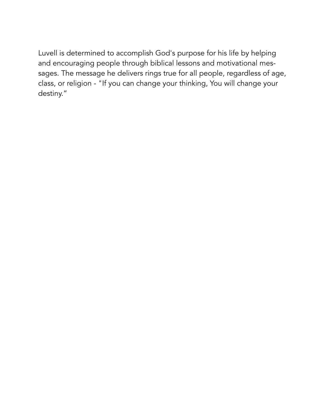Luvell is determined to accomplish God's purpose for his life by helping and encouraging people through biblical lessons and motivational messages. The message he delivers rings true for all people, regardless of age, class, or religion - "If you can change your thinking, You will change your destiny."